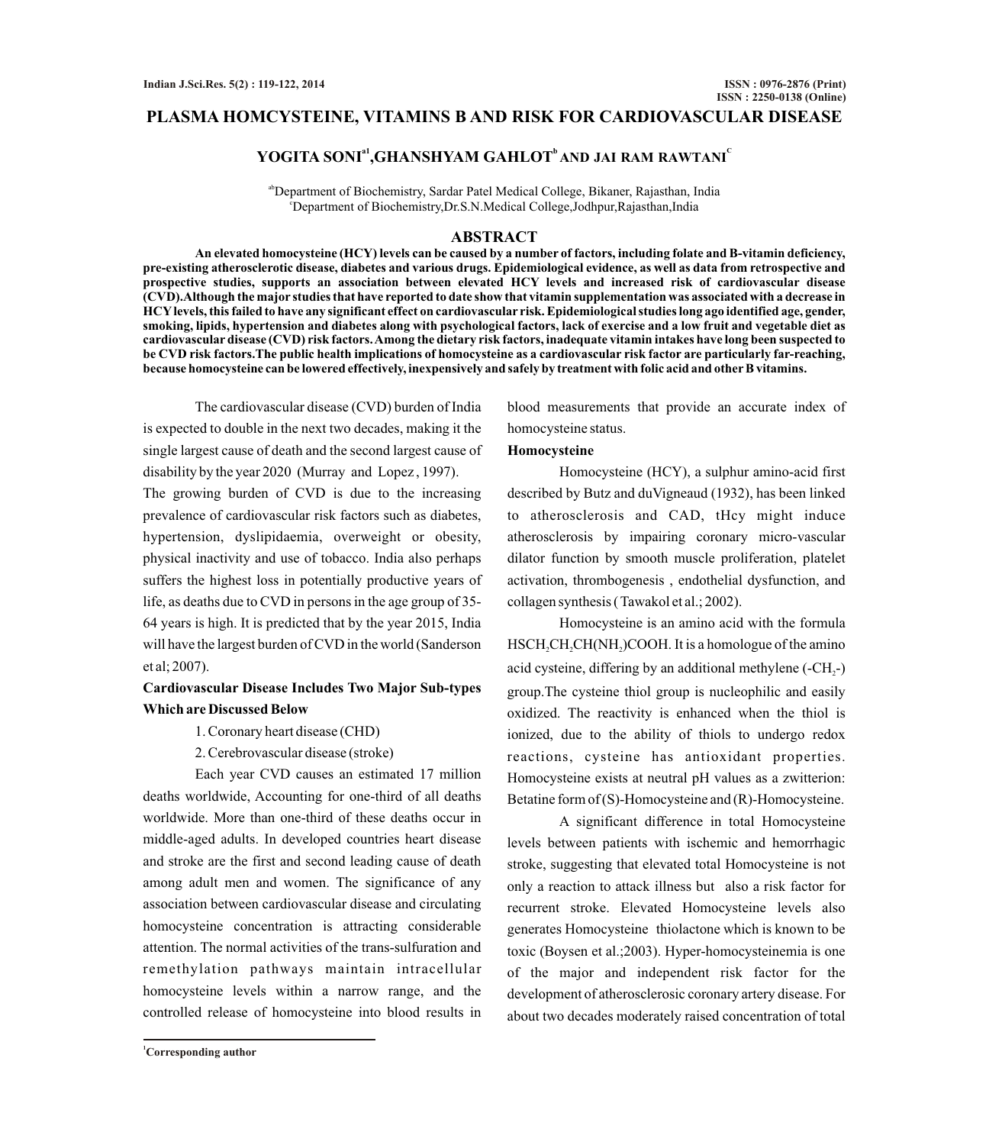### **PLASMA HOMCYSTEINE, VITAMINS B AND RISK FOR CARDIOVASCULAR DISEASE**

## **a1 b C YOGITA SONI ,GHANSHYAM GAHLOT AND JAI RAM RAWTANI**

abDepartment of Biochemistry, Sardar Patel Medical College, Bikaner, Rajasthan, India <sup>c</sup>Department of Biochemistry,Dr.S.N.Medical College,Jodhpur,Rajasthan,India

### **ABSTRACT**

**An elevated homocysteine (HCY) levels can be caused by a number of factors, including folate and B-vitamin deficiency, pre-existing atherosclerotic disease, diabetes and various drugs. Epidemiological evidence, as well as data from retrospective and prospective studies, supports an association between elevated HCY levels and increased risk of cardiovascular disease (CVD).Although the major studies that have reported to date show that vitamin supplementation was associated with a decrease in HCYlevels, this failed to have any significant effect on cardiovascular risk. Epidemiological studies long ago identified age, gender, smoking, lipids, hypertension and diabetes along with psychological factors, lack of exercise and a low fruit and vegetable diet as cardiovascular disease (CVD) risk factors. Among the dietary risk factors, inadequate vitamin intakes have long been suspected to be CVD risk factors.The public health implications of homocysteine as a cardiovascular risk factor are particularly far-reaching, because homocysteine can be lowered effectively, inexpensively and safely by treatment with folic acid and otherB vitamins.**

The cardiovascular disease (CVD) burden of India is expected to double in the next two decades, making it the single largest cause of death and the second largest cause of disability by the year 2020 (Murray and Lopez , 1997).

The growing burden of CVD is due to the increasing prevalence of cardiovascular risk factors such as diabetes, hypertension, dyslipidaemia, overweight or obesity, physical inactivity and use of tobacco. India also perhaps suffers the highest loss in potentially productive years of life, as deaths due to CVD in persons in the age group of 35- 64 years is high. It is predicted that by the year 2015, India will have the largest burden of CVD in the world (Sanderson et al; 2007).

## **Cardiovascular Disease Includes Two Major Sub-types Which are Discussed Below**

1. Coronary heart disease (CHD)

2. Cerebrovascular disease (stroke)

Each year CVD causes an estimated 17 million deaths worldwide, Accounting for one-third of all deaths worldwide. More than one-third of these deaths occur in middle-aged adults. In developed countries heart disease and stroke are the first and second leading cause of death among adult men and women. The significance of any association between cardiovascular disease and circulating homocysteine concentration is attracting considerable attention. The normal activities of the trans-sulfuration and remethylation pathways maintain intracellular homocysteine levels within a narrow range, and the controlled release of homocysteine into blood results in

blood measurements that provide an accurate index of homocysteine status.

### **Homocysteine**

Homocysteine (HCY), a sulphur amino-acid first described by Butz and duVigneaud (1932), has been linked to atherosclerosis and CAD, tHcy might induce atherosclerosis by impairing coronary micro-vascular dilator function by smooth muscle proliferation, platelet activation, thrombogenesis , endothelial dysfunction, and collagen synthesis ( Tawakol et al.; 2002).

Homocysteine is an amino acid with the formula HSCH, CH, CH(NH,)COOH. It is a homologue of the amino acid cysteine, differing by an additional methylene  $(-CH<sub>2</sub>-)$ group.The cysteine thiol group is nucleophilic and easily oxidized. The reactivity is enhanced when the thiol is ionized, due to the ability of thiols to undergo redox reactions, cysteine has antioxidant properties. Homocysteine exists at neutral pH values as a zwitterion: Betatine form of (S)-Homocysteine and (R)-Homocysteine.

A significant difference in total Homocysteine levels between patients with ischemic and hemorrhagic stroke, suggesting that elevated total Homocysteine is not only a reaction to attack illness but also a risk factor for recurrent stroke. Elevated Homocysteine levels also generates Homocysteine thiolactone which is known to be toxic (Boysen et al.;2003). Hyper-homocysteinemia is one of the major and independent risk factor for the development of atherosclerosic coronary artery disease. For about two decades moderately raised concentration of total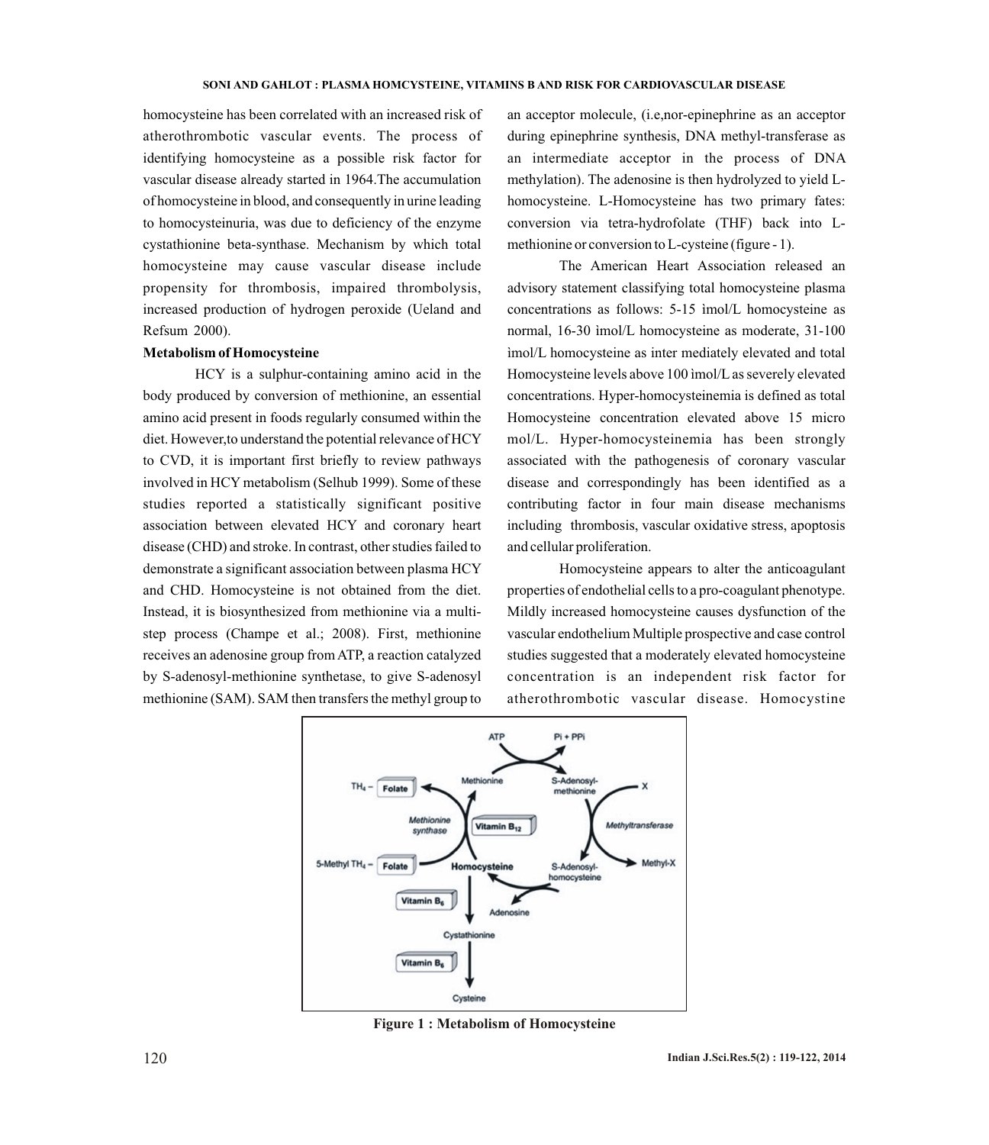homocysteine has been correlated with an increased risk of atherothrombotic vascular events. The process of identifying homocysteine as a possible risk factor for vascular disease already started in 1964.The accumulation of homocysteine in blood, and consequently in urine leading to homocysteinuria, was due to deficiency of the enzyme cystathionine beta-synthase. Mechanism by which total homocysteine may cause vascular disease include propensity for thrombosis, impaired thrombolysis, increased production of hydrogen peroxide (Ueland and Refsum 2000).

### **Metabolism of Homocysteine**

HCY is a sulphur-containing amino acid in the body produced by conversion of methionine, an essential amino acid present in foods regularly consumed within the diet. However,to understand the potential relevance of HCY to CVD, it is important first briefly to review pathways involved in HCY metabolism (Selhub 1999). Some of these studies reported a statistically significant positive association between elevated HCY and coronary heart disease (CHD) and stroke. In contrast, other studies failed to demonstrate a significant association between plasma HCY and CHD. Homocysteine is not obtained from the diet. Instead, it is biosynthesized from methionine via a multistep process (Champe et al.; 2008). First, methionine receives an adenosine group from ATP, a reaction catalyzed by S-adenosyl-methionine synthetase, to give S-adenosyl methionine (SAM). SAM then transfers the methyl group to

an acceptor molecule, (i.e,nor-epinephrine as an acceptor during epinephrine synthesis, DNA methyl-transferase as an intermediate acceptor in the process of DNA methylation). The adenosine is then hydrolyzed to yield Lhomocysteine. L-Homocysteine has two primary fates: conversion via tetra-hydrofolate (THF) back into Lmethionine or conversion to L-cysteine (figure - 1).

The American Heart Association released an advisory statement classifying total homocysteine plasma concentrations as follows: 5-15 ìmol/L homocysteine as normal, 16-30 ìmol/L homocysteine as moderate, 31-100 ìmol/L homocysteine as inter mediately elevated and total Homocysteine levels above 100 ìmol/Las severely elevated concentrations. Hyper-homocysteinemia is defined as total Homocysteine concentration elevated above 15 micro mol/L. Hyper-homocysteinemia has been strongly associated with the pathogenesis of coronary vascular disease and correspondingly has been identified as a contributing factor in four main disease mechanisms including thrombosis, vascular oxidative stress, apoptosis and cellular proliferation.

Homocysteine appears to alter the anticoagulant properties of endothelial cells to a pro-coagulant phenotype. Mildly increased homocysteine causes dysfunction of the vascular endothelium Multiple prospective and case control studies suggested that a moderately elevated homocysteine concentration is an independent risk factor for atherothrombotic vascular disease. Homocystine



**Figure 1 : Metabolism of Homocysteine**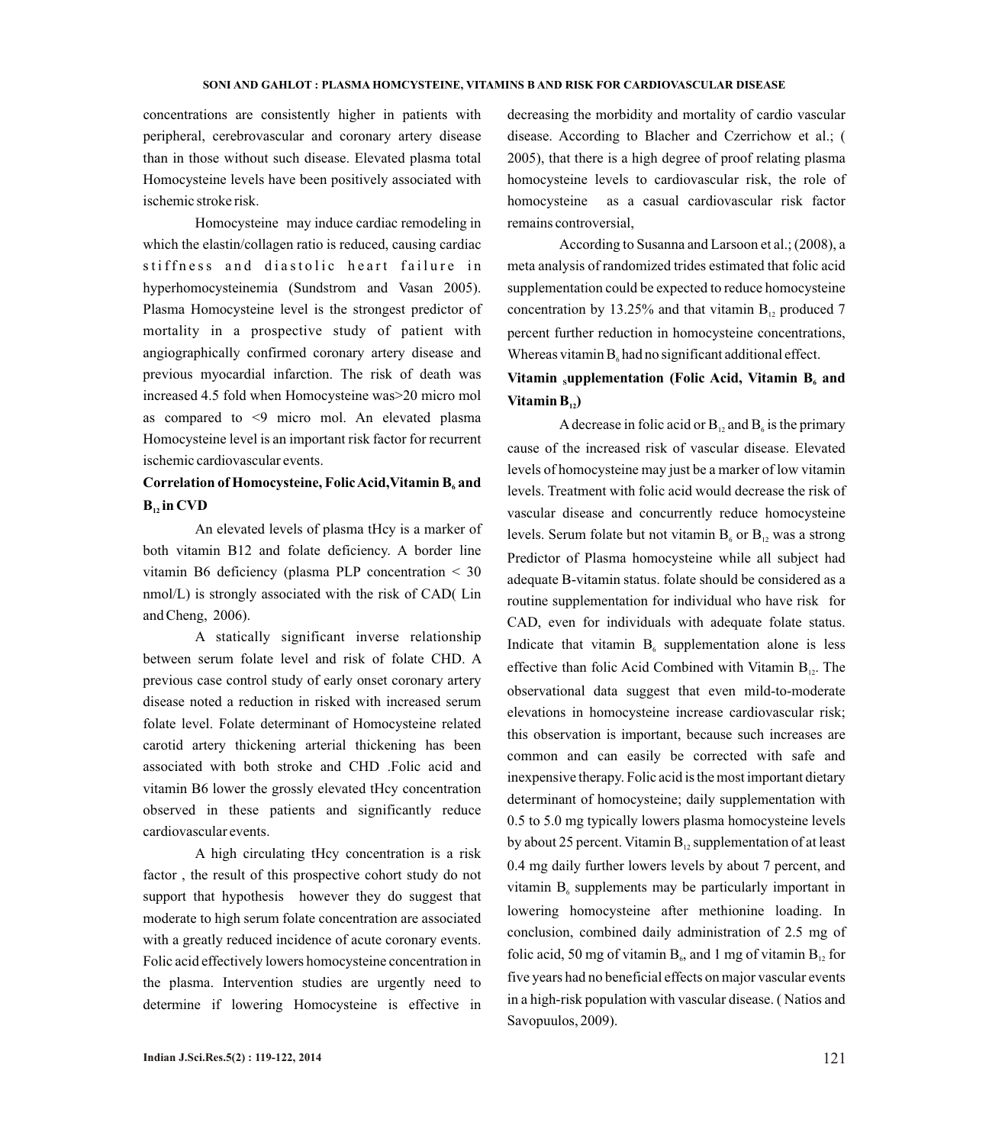concentrations are consistently higher in patients with peripheral, cerebrovascular and coronary artery disease than in those without such disease. Elevated plasma total Homocysteine levels have been positively associated with ischemic stroke risk.

Homocysteine may induce cardiac remodeling in which the elastin/collagen ratio is reduced, causing cardiac stiffness and diastolic heart failure in hyperhomocysteinemia (Sundstrom and Vasan 2005). Plasma Homocysteine level is the strongest predictor of mortality in a prospective study of patient with angiographically confirmed coronary artery disease and previous myocardial infarction. The risk of death was increased 4.5 fold when Homocysteine was>20 micro mol as compared to <9 micro mol. An elevated plasma Homocysteine level is an important risk factor for recurrent ischemic cardiovascular events.

# **Correlation of Homocysteine, Folic Acid,Vitamin B and <sup>6</sup>**  $B_1$ , in CVD

An elevated levels of plasma tHcy is a marker of both vitamin B12 and folate deficiency. A border line vitamin B6 deficiency (plasma PLP concentration < 30 nmol/L) is strongly associated with the risk of CAD( Lin and Cheng, 2006).

A statically significant inverse relationship between serum folate level and risk of folate CHD. A previous case control study of early onset coronary artery disease noted a reduction in risked with increased serum folate level. Folate determinant of Homocysteine related carotid artery thickening arterial thickening has been associated with both stroke and CHD .Folic acid and vitamin B6 lower the grossly elevated tHcy concentration observed in these patients and significantly reduce cardiovascular events.

A high circulating tHcy concentration is a risk factor , the result of this prospective cohort study do not support that hypothesis however they do suggest that moderate to high serum folate concentration are associated with a greatly reduced incidence of acute coronary events. Folic acid effectively lowers homocysteine concentration in the plasma. Intervention studies are urgently need to determine if lowering Homocysteine is effective in

decreasing the morbidity and mortality of cardio vascular disease. According to Blacher and Czerrichow et al.; ( 2005), that there is a high degree of proof relating plasma homocysteine levels to cardiovascular risk, the role of homocysteine as a casual cardiovascular risk factor remains controversial,

According to Susanna and Larsoon et al.; (2008), a meta analysis of randomized trides estimated that folic acid supplementation could be expected to reduce homocysteine concentration by 13.25% and that vitamin  $B_{12}$  produced 7 percent further reduction in homocysteine concentrations, Whereas vitamin  $B_6$  had no significant additional effect.

# Vitamin supplementation (Folic Acid, Vitamin  $B_6$  and  $V$ **itamin B**<sub>12</sub> $)$

A decrease in folic acid or  $B_{12}$  and  $B_6$  is the primary cause of the increased risk of vascular disease. Elevated levels of homocysteine may just be a marker of low vitamin levels. Treatment with folic acid would decrease the risk of vascular disease and concurrently reduce homocysteine levels. Serum folate but not vitamin  $B_6$  or  $B_1$ , was a strong Predictor of Plasma homocysteine while all subject had adequate B-vitamin status. folate should be considered as a routine supplementation for individual who have risk for CAD, even for individuals with adequate folate status. Indicate that vitamin  $B_6$  supplementation alone is less effective than folic Acid Combined with Vitamin  $B_{12}$ . The observational data suggest that even mild-to-moderate elevations in homocysteine increase cardiovascular risk; this observation is important, because such increases are common and can easily be corrected with safe and inexpensive therapy. Folic acid is the most important dietary determinant of homocysteine; daily supplementation with 0.5 to 5.0 mg typically lowers plasma homocysteine levels by about 25 percent. Vitamin  $B_{12}$  supplementation of at least 0.4 mg daily further lowers levels by about 7 percent, and vitamin  $B_6$  supplements may be particularly important in lowering homocysteine after methionine loading. In conclusion, combined daily administration of 2.5 mg of folic acid, 50 mg of vitamin  $B_6$ , and 1 mg of vitamin  $B_{12}$  for five years had no beneficial effects on major vascular events in a high-risk population with vascular disease. ( Natios and Savopuulos, 2009).